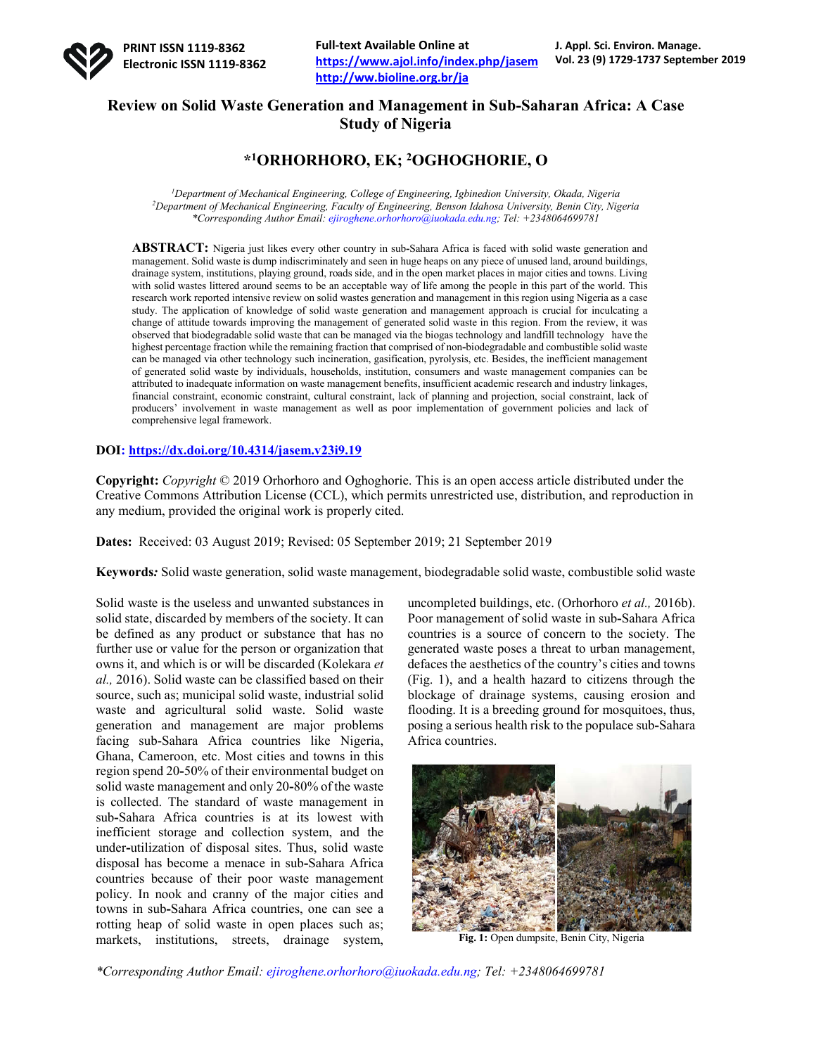

**Full-text Available Online at https://www.ajol.info/index.php/jasem http://ww.bioline.org.br/ja**

## **Review on Solid Waste Generation and Management in Sub-Saharan Africa: A Case Study of Nigeria**

## **\*1ORHORHORO, EK; 2OGHOGHORIE, O**

*1 Department of Mechanical Engineering, College of Engineering, Igbinedion University, Okada, Nigeria 2 Department of Mechanical Engineering, Faculty of Engineering, Benson Idahosa University, Benin City, Nigeria \*Corresponding Author Email: ejiroghene.orhorhoro@iuokada.edu.ng; Tel: +2348064699781*

**ABSTRACT:** Nigeria just likes every other country in sub**-**Sahara Africa is faced with solid waste generation and management. Solid waste is dump indiscriminately and seen in huge heaps on any piece of unused land, around buildings, drainage system, institutions, playing ground, roads side, and in the open market places in major cities and towns. Living with solid wastes littered around seems to be an acceptable way of life among the people in this part of the world. This research work reported intensive review on solid wastes generation and management in this region using Nigeria as a case study. The application of knowledge of solid waste generation and management approach is crucial for inculcating a change of attitude towards improving the management of generated solid waste in this region. From the review, it was observed that biodegradable solid waste that can be managed via the biogas technology and landfill technology have the highest percentage fraction while the remaining fraction that comprised of non**-**biodegradable and combustible solid waste can be managed via other technology such incineration, gasification, pyrolysis, etc. Besides, the inefficient management of generated solid waste by individuals, households, institution, consumers and waste management companies can be attributed to inadequate information on waste management benefits, insufficient academic research and industry linkages, financial constraint, economic constraint, cultural constraint, lack of planning and projection, social constraint, lack of producers' involvement in waste management as well as poor implementation of government policies and lack of comprehensive legal framework.

## **DOI: https://dx.doi.org/10.4314/jasem.v23i9.19**

**Copyright:** *Copyright* © 2019 Orhorhoro and Oghoghorie. This is an open access article distributed under the Creative Commons Attribution License (CCL), which permits unrestricted use, distribution, and reproduction in any medium, provided the original work is properly cited.

**Dates:** Received: 03 August 2019; Revised: 05 September 2019; 21 September 2019

**Keywords***:* Solid waste generation, solid waste management, biodegradable solid waste, combustible solid waste

Solid waste is the useless and unwanted substances in solid state, discarded by members of the society. It can be defined as any product or substance that has no further use or value for the person or organization that owns it, and which is or will be discarded (Kolekara *et al.,* 2016). Solid waste can be classified based on their source, such as; municipal solid waste, industrial solid waste and agricultural solid waste. Solid waste generation and management are major problems facing sub-Sahara Africa countries like Nigeria, Ghana, Cameroon, etc. Most cities and towns in this region spend 20**-**50% of their environmental budget on solid waste management and only 20**-**80% of the waste is collected. The standard of waste management in sub**-**Sahara Africa countries is at its lowest with inefficient storage and collection system, and the under**-**utilization of disposal sites. Thus, solid waste disposal has become a menace in sub**-**Sahara Africa countries because of their poor waste management policy. In nook and cranny of the major cities and towns in sub**-**Sahara Africa countries, one can see a rotting heap of solid waste in open places such as; markets, institutions, streets, drainage system,

uncompleted buildings, etc. (Orhorhoro *et al.,* 2016b). Poor management of solid waste in sub**-**Sahara Africa countries is a source of concern to the society. The generated waste poses a threat to urban management, defaces the aesthetics of the country's cities and towns (Fig. 1), and a health hazard to citizens through the blockage of drainage systems, causing erosion and flooding. It is a breeding ground for mosquitoes, thus, posing a serious health risk to the populace sub**-**Sahara Africa countries.



**Fig. 1:** Open dumpsite, Benin City, Nigeria

*\*Corresponding Author Email: ejiroghene.orhorhoro@iuokada.edu.ng; Tel: +2348064699781*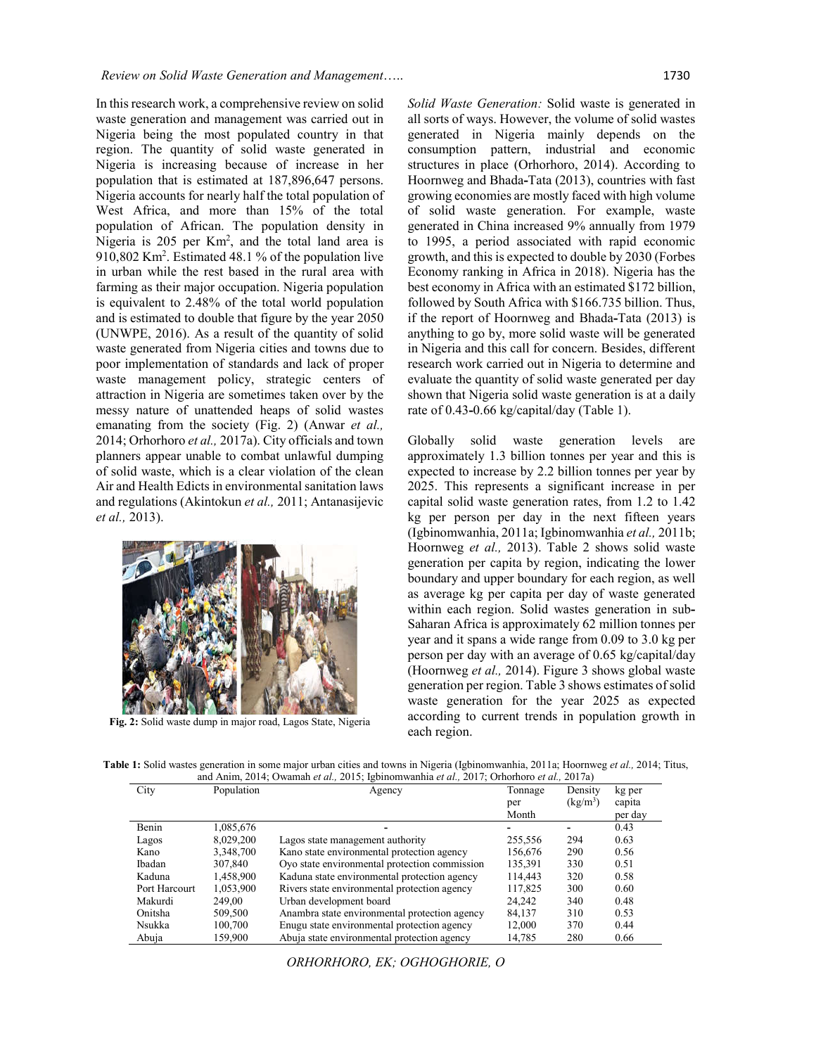In this research work, a comprehensive review on solid waste generation and management was carried out in Nigeria being the most populated country in that region. The quantity of solid waste generated in Nigeria is increasing because of increase in her population that is estimated at 187,896,647 persons. Nigeria accounts for nearly half the total population of West Africa, and more than 15% of the total population of African. The population density in Nigeria is 205 per Km<sup>2</sup>, and the total land area is 910,802 Km<sup>2</sup>. Estimated 48.1 % of the population live in urban while the rest based in the rural area with farming as their major occupation. Nigeria population is equivalent to 2.48% of the total world population and is estimated to double that figure by the year 2050 (UNWPE, 2016). As a result of the quantity of solid waste generated from Nigeria cities and towns due to poor implementation of standards and lack of proper waste management policy, strategic centers of attraction in Nigeria are sometimes taken over by the messy nature of unattended heaps of solid wastes emanating from the society (Fig. 2) (Anwar *et al.,* 2014; Orhorhoro *et al.,* 2017a). City officials and town planners appear unable to combat unlawful dumping of solid waste, which is a clear violation of the clean Air and Health Edicts in environmental sanitation laws and regulations (Akintokun *et al.,* 2011; Antanasijevic *et al.,* 2013).



**Fig. 2:** Solid waste dump in major road, Lagos State, Nigeria

*Solid Waste Generation:* Solid waste is generated in all sorts of ways. However, the volume of solid wastes generated in Nigeria mainly depends on the consumption pattern, industrial and economic structures in place (Orhorhoro, 2014). According to Hoornweg and Bhada**-**Tata (2013), countries with fast growing economies are mostly faced with high volume of solid waste generation. For example, waste generated in China increased 9% annually from 1979 to 1995, a period associated with rapid economic growth, and this is expected to double by 2030 (Forbes Economy ranking in Africa in 2018). Nigeria has the best economy in Africa with an estimated \$172 billion, followed by South Africa with \$166.735 billion. Thus, if the report of Hoornweg and Bhada**-**Tata (2013) is anything to go by, more solid waste will be generated in Nigeria and this call for concern. Besides, different research work carried out in Nigeria to determine and evaluate the quantity of solid waste generated per day shown that Nigeria solid waste generation is at a daily rate of 0.43**-**0.66 kg/capital/day (Table 1).

Globally solid waste generation levels are approximately 1.3 billion tonnes per year and this is expected to increase by 2.2 billion tonnes per year by 2025. This represents a significant increase in per capital solid waste generation rates, from 1.2 to 1.42 kg per person per day in the next fifteen years (Igbinomwanhia, 2011a; Igbinomwanhia *et al.,* 2011b; Hoornweg *et al.,* 2013). Table 2 shows solid waste generation per capita by region, indicating the lower boundary and upper boundary for each region, as well as average kg per capita per day of waste generated within each region. Solid wastes generation in sub**-**Saharan Africa is approximately 62 million tonnes per year and it spans a wide range from 0.09 to 3.0 kg per person per day with an average of 0.65 kg/capital/day (Hoornweg *et al.,* 2014). Figure 3 shows global waste generation per region. Table 3 shows estimates of solid waste generation for the year 2025 as expected according to current trends in population growth in each region.

**Table 1:** Solid wastes generation in some major urban cities and towns in Nigeria (Igbinomwanhia, 2011a; Hoornweg *et al.,* 2014; Titus, and Anim, 2014; Owamah *et al.,* 2015; Igbinomwanhia *et al.,* 2017; Orhorhoro *et al.,* 2017a)

| City          | Population | Agency                                        | Tonnage | Density    | kg per  |
|---------------|------------|-----------------------------------------------|---------|------------|---------|
|               |            |                                               | per     | $(kg/m^3)$ | capita  |
|               |            |                                               | Month   |            | per day |
| Benin         | 1,085,676  |                                               |         |            | 0.43    |
| Lagos         | 8,029,200  | Lagos state management authority              | 255,556 | 294        | 0.63    |
| Kano          | 3,348,700  | Kano state environmental protection agency    | 156,676 | 290        | 0.56    |
| Ibadan        | 307,840    | Oyo state environmental protection commission | 135,391 | 330        | 0.51    |
| Kaduna        | 1,458,900  | Kaduna state environmental protection agency  | 114.443 | 320        | 0.58    |
| Port Harcourt | 1,053,900  | Rivers state environmental protection agency  | 117,825 | 300        | 0.60    |
| Makurdi       | 249.00     | Urban development board                       | 24.242  | 340        | 0.48    |
| Onitsha       | 509,500    | Anambra state environmental protection agency | 84,137  | 310        | 0.53    |
| Nsukka        | 100,700    | Enugu state environmental protection agency   | 12.000  | 370        | 0.44    |
| Abuja         | 159,900    | Abuja state environmental protection agency   | 14,785  | 280        | 0.66    |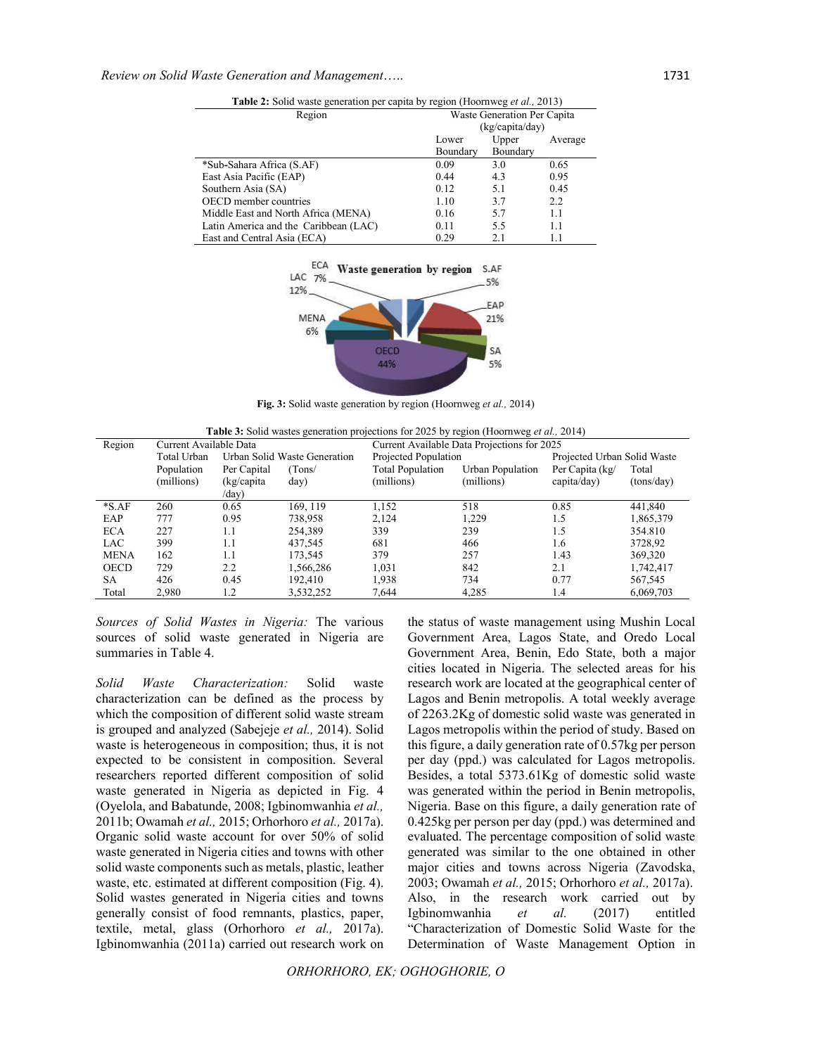| <b>Table 2:</b> Solid waste generation per capita by region (Hoornweg <i>et al.</i> , 2013) |                             |          |         |  |
|---------------------------------------------------------------------------------------------|-----------------------------|----------|---------|--|
| Region                                                                                      | Waste Generation Per Capita |          |         |  |
|                                                                                             | (kg/capita/day)             |          |         |  |
|                                                                                             | Lower                       | Upper    | Average |  |
|                                                                                             | Boundary                    | Boundary |         |  |
| *Sub-Sahara Africa (S.AF)                                                                   | 0.09                        | 3.0      | 0.65    |  |
| East Asia Pacific (EAP)                                                                     | 0.44                        | 4.3      | 0.95    |  |
| Southern Asia (SA)                                                                          | 0.12                        | 5.1      | 0.45    |  |
| <b>OECD</b> member countries                                                                | 1.10                        | 3.7      | 2.2     |  |
| Middle East and North Africa (MENA)                                                         | 0.16                        | 5.7      | 1.1     |  |
| Latin America and the Caribbean (LAC)                                                       | 0.11                        | 5.5      | 1.1     |  |
| East and Central Asia (ECA)                                                                 | 0.29                        | 2.1      | 1.1     |  |



**Fig. 3:** Solid waste generation by region (Hoornweg *et al.,* 2014)

| <b>Table 3:</b> Solid wastes generation projections for 2025 by region (Hoornweg <i>et al.</i> , 2014) |                        |                              |           |                                             |                  |                             |            |
|--------------------------------------------------------------------------------------------------------|------------------------|------------------------------|-----------|---------------------------------------------|------------------|-----------------------------|------------|
| Region                                                                                                 | Current Available Data |                              |           | Current Available Data Projections for 2025 |                  |                             |            |
|                                                                                                        | Total Urban            | Urban Solid Waste Generation |           | Projected Population                        |                  | Projected Urban Solid Waste |            |
|                                                                                                        | Population             | Per Capital                  | (Tons)    | <b>Total Population</b>                     | Urban Population | Per Capita (kg/             | Total      |
|                                                                                                        | (millions)             | (kg/capita)                  | day)      | (millions)                                  | (millions)       | capita/day)                 | (tons/day) |
|                                                                                                        |                        | /day)                        |           |                                             |                  |                             |            |
| $*S.AF$                                                                                                | 260                    | 0.65                         | 169.119   | 1,152                                       | 518              | 0.85                        | 441,840    |
| EAP                                                                                                    | 777                    | 0.95                         | 738,958   | 2,124                                       | 1.229            | 1.5                         | 1,865,379  |
| <b>ECA</b>                                                                                             | 227                    | 1.1                          | 254.389   | 339                                         | 239              | 1.5                         | 354.810    |
| <b>LAC</b>                                                                                             | 399                    | 1.1                          | 437.545   | 681                                         | 466              | 1.6                         | 3728,92    |
| <b>MENA</b>                                                                                            | 162                    | 1.1                          | 173.545   | 379                                         | 257              | 1.43                        | 369,320    |
| <b>OECD</b>                                                                                            | 729                    | 2.2                          | 1.566.286 | 1.031                                       | 842              | 2.1                         | 1,742,417  |
| SA                                                                                                     | 426                    | 0.45                         | 192.410   | 1,938                                       | 734              | 0.77                        | 567,545    |
| Total                                                                                                  | 2,980                  | 1.2                          | 3,532,252 | 7,644                                       | 4,285            | 1.4                         | 6,069,703  |

*Sources of Solid Wastes in Nigeria:* The various sources of solid waste generated in Nigeria are summaries in Table 4.

*Solid Waste Characterization:* Solid waste characterization can be defined as the process by which the composition of different solid waste stream is grouped and analyzed (Sabejeje *et al.,* 2014). Solid waste is heterogeneous in composition; thus, it is not expected to be consistent in composition. Several researchers reported different composition of solid waste generated in Nigeria as depicted in Fig. 4 (Oyelola, and Babatunde, 2008; Igbinomwanhia *et al.,* 2011b; Owamah *et al.,* 2015; Orhorhoro *et al.,* 2017a). Organic solid waste account for over 50% of solid waste generated in Nigeria cities and towns with other solid waste components such as metals, plastic, leather waste, etc. estimated at different composition (Fig. 4). Solid wastes generated in Nigeria cities and towns generally consist of food remnants, plastics, paper, textile, metal, glass (Orhorhoro *et al.,* 2017a). Igbinomwanhia (2011a) carried out research work on

the status of waste management using Mushin Local Government Area, Lagos State, and Oredo Local Government Area, Benin, Edo State, both a major cities located in Nigeria. The selected areas for his research work are located at the geographical center of Lagos and Benin metropolis. A total weekly average of 2263.2Kg of domestic solid waste was generated in Lagos metropolis within the period of study. Based on this figure, a daily generation rate of 0.57kg per person per day (ppd.) was calculated for Lagos metropolis. Besides, a total 5373.61Kg of domestic solid waste was generated within the period in Benin metropolis, Nigeria. Base on this figure, a daily generation rate of 0.425kg per person per day (ppd.) was determined and evaluated. The percentage composition of solid waste generated was similar to the one obtained in other major cities and towns across Nigeria (Zavodska, 2003; Owamah *et al.,* 2015; Orhorhoro *et al.,* 2017a). Also, in the research work carried out by Igbinomwanhia *et al.* (2017) entitled "Characterization of Domestic Solid Waste for the Determination of Waste Management Option in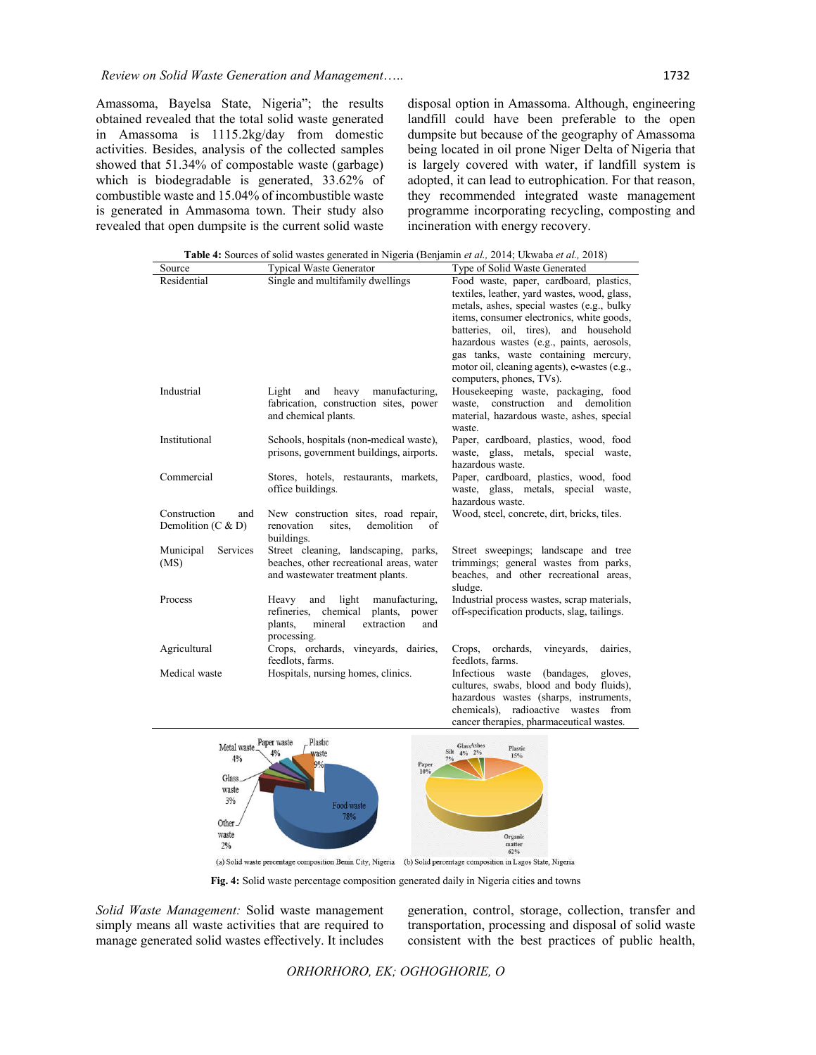Amassoma, Bayelsa State, Nigeria"; the results obtained revealed that the total solid waste generated in Amassoma is 1115.2kg/day from domestic activities. Besides, analysis of the collected samples showed that 51.34% of compostable waste (garbage) which is biodegradable is generated, 33.62% of combustible waste and 15.04% of incombustible waste is generated in Ammasoma town. Their study also revealed that open dumpsite is the current solid waste

disposal option in Amassoma. Although, engineering landfill could have been preferable to the open dumpsite but because of the geography of Amassoma being located in oil prone Niger Delta of Nigeria that is largely covered with water, if landfill system is adopted, it can lead to eutrophication. For that reason, they recommended integrated waste management programme incorporating recycling, composting and incineration with energy recovery.

| <b>Table 4:</b> Sources of solid wastes generated in Nigeria (Benjamin <i>et al.</i> , 2014; Ukwaba <i>et al.</i> , 2018) |                                                                                                                                         |                                                                                                                                                                                                                                                                                                                                                                  |  |  |
|---------------------------------------------------------------------------------------------------------------------------|-----------------------------------------------------------------------------------------------------------------------------------------|------------------------------------------------------------------------------------------------------------------------------------------------------------------------------------------------------------------------------------------------------------------------------------------------------------------------------------------------------------------|--|--|
| Source                                                                                                                    | <b>Typical Waste Generator</b>                                                                                                          | Type of Solid Waste Generated                                                                                                                                                                                                                                                                                                                                    |  |  |
| Residential                                                                                                               | Single and multifamily dwellings                                                                                                        | Food waste, paper, cardboard, plastics,<br>textiles, leather, yard wastes, wood, glass,<br>metals, ashes, special wastes (e.g., bulky<br>items, consumer electronics, white goods,<br>batteries, oil, tires), and household<br>hazardous wastes (e.g., paints, aerosols,<br>gas tanks, waste containing mercury,<br>motor oil, cleaning agents), e-wastes (e.g., |  |  |
| Industrial                                                                                                                | heavy<br>manufacturing,<br>Light<br>and<br>fabrication, construction sites, power<br>and chemical plants.                               | computers, phones, TVs).<br>Housekeeping waste, packaging, food<br>and<br>waste, construction<br>demolition<br>material, hazardous waste, ashes, special<br>waste.                                                                                                                                                                                               |  |  |
| Institutional                                                                                                             | Schools, hospitals (non-medical waste),<br>prisons, government buildings, airports.                                                     | Paper, cardboard, plastics, wood, food<br>waste, glass, metals, special waste,<br>hazardous waste.                                                                                                                                                                                                                                                               |  |  |
| Commercial                                                                                                                | Stores, hotels, restaurants, markets,<br>office buildings.                                                                              | Paper, cardboard, plastics, wood, food<br>waste, glass, metals, special waste,<br>hazardous waste.                                                                                                                                                                                                                                                               |  |  |
| Construction<br>and<br>Demolition $(C & D)$                                                                               | New construction sites, road repair,<br>demolition<br>renovation<br>sites,<br>of<br>buildings.                                          | Wood, steel, concrete, dirt, bricks, tiles.                                                                                                                                                                                                                                                                                                                      |  |  |
| Municipal<br>Services<br>(MS)                                                                                             | Street cleaning, landscaping, parks,<br>beaches, other recreational areas, water<br>and wastewater treatment plants.                    | Street sweepings; landscape and tree<br>trimmings; general wastes from parks,<br>beaches, and other recreational areas,<br>sludge.                                                                                                                                                                                                                               |  |  |
| Process                                                                                                                   | Heavy<br>and<br>light<br>manufacturing,<br>refineries, chemical plants, power<br>mineral<br>extraction<br>plants,<br>and<br>processing. | Industrial process wastes, scrap materials,<br>off-specification products, slag, tailings.                                                                                                                                                                                                                                                                       |  |  |
| Agricultural                                                                                                              | Crops, orchards, vineyards, dairies,<br>feedlots, farms.                                                                                | orchards,<br>vineyards,<br>Crops,<br>dairies,<br>feedlots, farms.                                                                                                                                                                                                                                                                                                |  |  |
| Medical waste                                                                                                             | Hospitals, nursing homes, clinics.                                                                                                      | Infectious waste<br>(bandages, gloves,<br>cultures, swabs, blood and body fluids),<br>hazardous wastes (sharps, instruments,                                                                                                                                                                                                                                     |  |  |



(a) Solid waste percentage composition Benin City, Nigeria (b) Solid percentage composition in Lagos State, Nigeria

**Fig. 4:** Solid waste percentage composition generated daily in Nigeria cities and towns

*Solid Waste Management:* Solid waste management simply means all waste activities that are required to manage generated solid wastes effectively. It includes

generation, control, storage, collection, transfer and transportation, processing and disposal of solid waste consistent with the best practices of public health,

chemicals), radioactive wastes from cancer therapies, pharmaceutical wastes.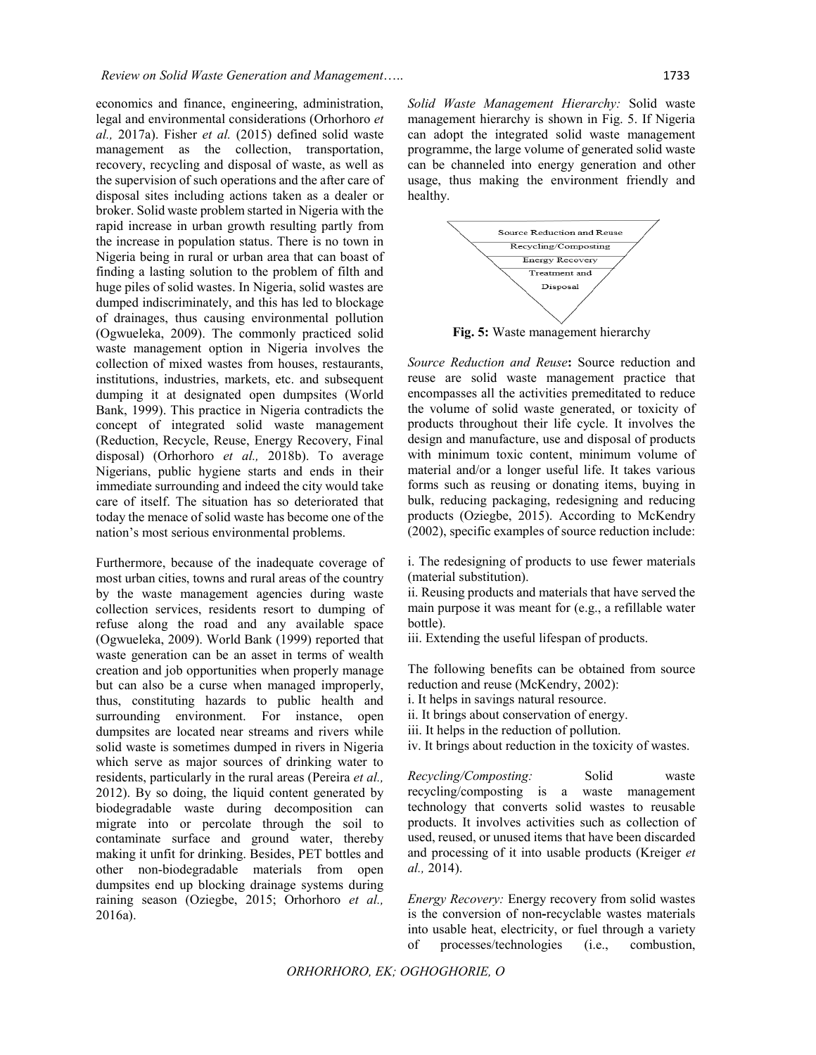economics and finance, engineering, administration, legal and environmental considerations (Orhorhoro *et al.,* 2017a). Fisher *et al.* (2015) defined solid waste management as the collection, transportation, recovery, recycling and disposal of waste, as well as the supervision of such operations and the after care of disposal sites including actions taken as a dealer or broker. Solid waste problem started in Nigeria with the rapid increase in urban growth resulting partly from the increase in population status. There is no town in Nigeria being in rural or urban area that can boast of finding a lasting solution to the problem of filth and huge piles of solid wastes. In Nigeria, solid wastes are dumped indiscriminately, and this has led to blockage of drainages, thus causing environmental pollution (Ogwueleka, 2009). The commonly practiced solid waste management option in Nigeria involves the collection of mixed wastes from houses, restaurants, institutions, industries, markets, etc. and subsequent dumping it at designated open dumpsites (World Bank, 1999). This practice in Nigeria contradicts the concept of integrated solid waste management (Reduction, Recycle, Reuse, Energy Recovery, Final disposal) (Orhorhoro *et al.,* 2018b). To average Nigerians, public hygiene starts and ends in their immediate surrounding and indeed the city would take care of itself. The situation has so deteriorated that today the menace of solid waste has become one of the nation's most serious environmental problems.

Furthermore, because of the inadequate coverage of most urban cities, towns and rural areas of the country by the waste management agencies during waste collection services, residents resort to dumping of refuse along the road and any available space (Ogwueleka, 2009). World Bank (1999) reported that waste generation can be an asset in terms of wealth creation and job opportunities when properly manage but can also be a curse when managed improperly, thus, constituting hazards to public health and surrounding environment. For instance, open dumpsites are located near streams and rivers while solid waste is sometimes dumped in rivers in Nigeria which serve as major sources of drinking water to residents, particularly in the rural areas (Pereira *et al.,* 2012). By so doing, the liquid content generated by biodegradable waste during decomposition can migrate into or percolate through the soil to contaminate surface and ground water, thereby making it unfit for drinking. Besides, PET bottles and other non-biodegradable materials from open dumpsites end up blocking drainage systems during raining season (Oziegbe, 2015; Orhorhoro *et al.,* 2016a).

*Solid Waste Management Hierarchy:* Solid waste management hierarchy is shown in Fig. 5. If Nigeria can adopt the integrated solid waste management programme, the large volume of generated solid waste can be channeled into energy generation and other usage, thus making the environment friendly and healthy.



**Fig. 5:** Waste management hierarchy

*Source Reduction and Reuse***:** Source reduction and reuse are solid waste management practice that encompasses all the activities premeditated to reduce the volume of solid waste generated, or toxicity of products throughout their life cycle. It involves the design and manufacture, use and disposal of products with minimum toxic content, minimum volume of material and/or a longer useful life. It takes various forms such as reusing or donating items, buying in bulk, reducing packaging, redesigning and reducing products (Oziegbe, 2015). According to McKendry (2002), specific examples of source reduction include:

i. The redesigning of products to use fewer materials (material substitution).

ii. Reusing products and materials that have served the main purpose it was meant for (e.g., a refillable water bottle).

iii. Extending the useful lifespan of products.

The following benefits can be obtained from source reduction and reuse (McKendry, 2002):

i. It helps in savings natural resource.

ii. It brings about conservation of energy.

iii. It helps in the reduction of pollution.

iv. It brings about reduction in the toxicity of wastes.

*Recycling/Composting:* Solid waste recycling/composting is a waste management technology that converts solid wastes to reusable products. It involves activities such as collection of used, reused, or unused items that have been discarded and processing of it into usable products (Kreiger *et al.,* 2014).

*Energy Recovery:* Energy recovery from solid wastes is the conversion of non**-**recyclable wastes materials into usable heat, electricity, or fuel through a variety of processes/technologies (i.e., combustion,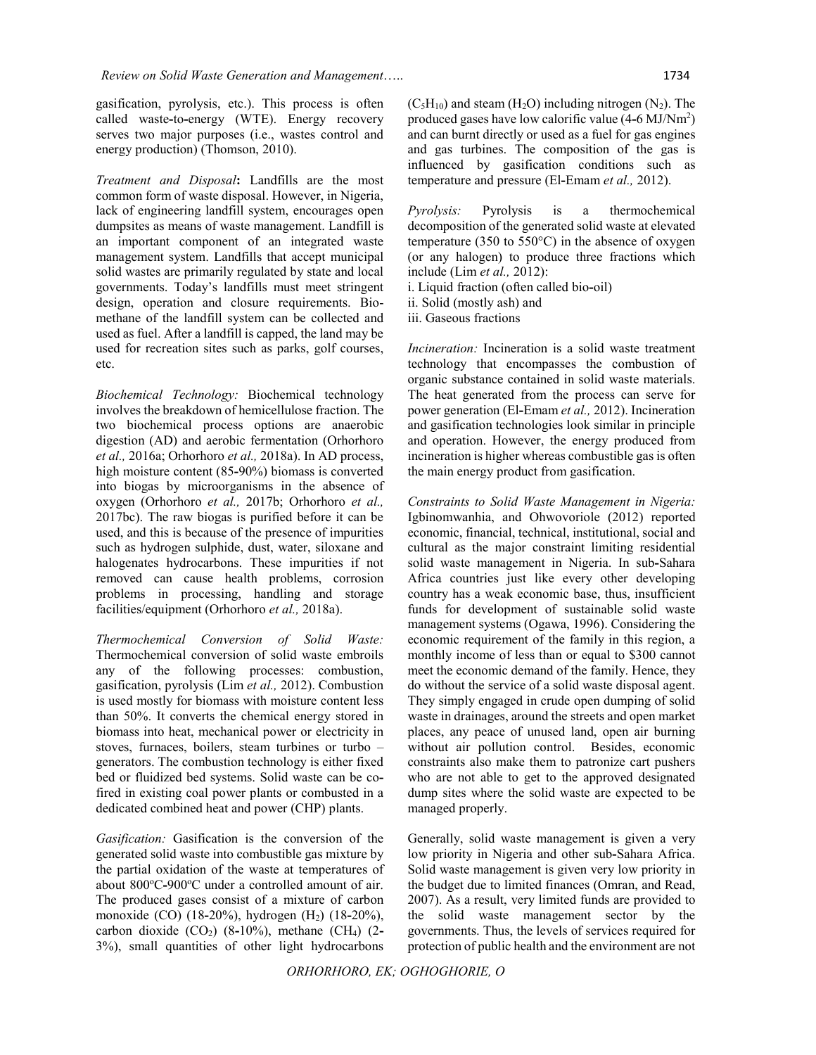gasification, pyrolysis, etc.). This process is often called waste**-**to**-**energy (WTE). Energy recovery serves two major purposes (i.e., wastes control and energy production) (Thomson, 2010).

*Treatment and Disposal***:** Landfills are the most common form of waste disposal. However, in Nigeria, lack of engineering landfill system, encourages open dumpsites as means of waste management. Landfill is an important component of an integrated waste management system. Landfills that accept municipal solid wastes are primarily regulated by state and local governments. Today's landfills must meet stringent design, operation and closure requirements. Biomethane of the landfill system can be collected and used as fuel. After a landfill is capped, the land may be used for recreation sites such as parks, golf courses, etc.

*Biochemical Technology:* Biochemical technology involves the breakdown of hemicellulose fraction. The two biochemical process options are anaerobic digestion (AD) and aerobic fermentation (Orhorhoro *et al.,* 2016a; Orhorhoro *et al.,* 2018a). In AD process, high moisture content (85**-**90%) biomass is converted into biogas by microorganisms in the absence of oxygen (Orhorhoro *et al.,* 2017b; Orhorhoro *et al.,* 2017bc). The raw biogas is purified before it can be used, and this is because of the presence of impurities such as hydrogen sulphide, dust, water, siloxane and halogenates hydrocarbons. These impurities if not removed can cause health problems, corrosion problems in processing, handling and storage facilities/equipment (Orhorhoro *et al.,* 2018a).

*Thermochemical Conversion of Solid Waste:* Thermochemical conversion of solid waste embroils any of the following processes: combustion, gasification, pyrolysis (Lim *et al.,* 2012). Combustion is used mostly for biomass with moisture content less than 50%. It converts the chemical energy stored in biomass into heat, mechanical power or electricity in stoves, furnaces, boilers, steam turbines or turbo – generators. The combustion technology is either fixed bed or fluidized bed systems. Solid waste can be cofired in existing coal power plants or combusted in a dedicated combined heat and power (CHP) plants.

*Gasification:* Gasification is the conversion of the generated solid waste into combustible gas mixture by the partial oxidation of the waste at temperatures of about 800°C-900°C under a controlled amount of air. The produced gases consist of a mixture of carbon monoxide (CO) (18**-**20%), hydrogen (H2) (18**-**20%), carbon dioxide (CO2) (8**-**10%), methane (CH4) (2**-** 3%), small quantities of other light hydrocarbons

 $(C_5H_{10})$  and steam  $(H_2O)$  including nitrogen  $(N_2)$ . The produced gases have low calorific value (4**-**6 MJ/Nm2 ) and can burnt directly or used as a fuel for gas engines and gas turbines. The composition of the gas is influenced by gasification conditions such as temperature and pressure (El**-**Emam *et al.,* 2012).

*Pyrolysis:* Pyrolysis is a thermochemical decomposition of the generated solid waste at elevated temperature (350 to 550°C) in the absence of oxygen (or any halogen) to produce three fractions which include (Lim *et al.,* 2012): i. Liquid fraction (often called bio**-**oil)

ii. Solid (mostly ash) and

iii. Gaseous fractions

*Incineration:* Incineration is a solid waste treatment technology that encompasses the combustion of organic substance contained in solid waste materials. The heat generated from the process can serve for power generation (El**-**Emam *et al.,* 2012). Incineration and gasification technologies look similar in principle and operation. However, the energy produced from incineration is higher whereas combustible gas is often the main energy product from gasification.

*Constraints to Solid Waste Management in Nigeria:* Igbinomwanhia, and Ohwovoriole (2012) reported economic, financial, technical, institutional, social and cultural as the major constraint limiting residential solid waste management in Nigeria. In sub**-**Sahara Africa countries just like every other developing country has a weak economic base, thus, insufficient funds for development of sustainable solid waste management systems (Ogawa, 1996). Considering the economic requirement of the family in this region, a monthly income of less than or equal to \$300 cannot meet the economic demand of the family. Hence, they do without the service of a solid waste disposal agent. They simply engaged in crude open dumping of solid waste in drainages, around the streets and open market places, any peace of unused land, open air burning without air pollution control. Besides, economic constraints also make them to patronize cart pushers who are not able to get to the approved designated dump sites where the solid waste are expected to be managed properly.

Generally, solid waste management is given a very low priority in Nigeria and other sub**-**Sahara Africa. Solid waste management is given very low priority in the budget due to limited finances (Omran, and Read, 2007). As a result, very limited funds are provided to the solid waste management sector by the governments. Thus, the levels of services required for protection of public health and the environment are not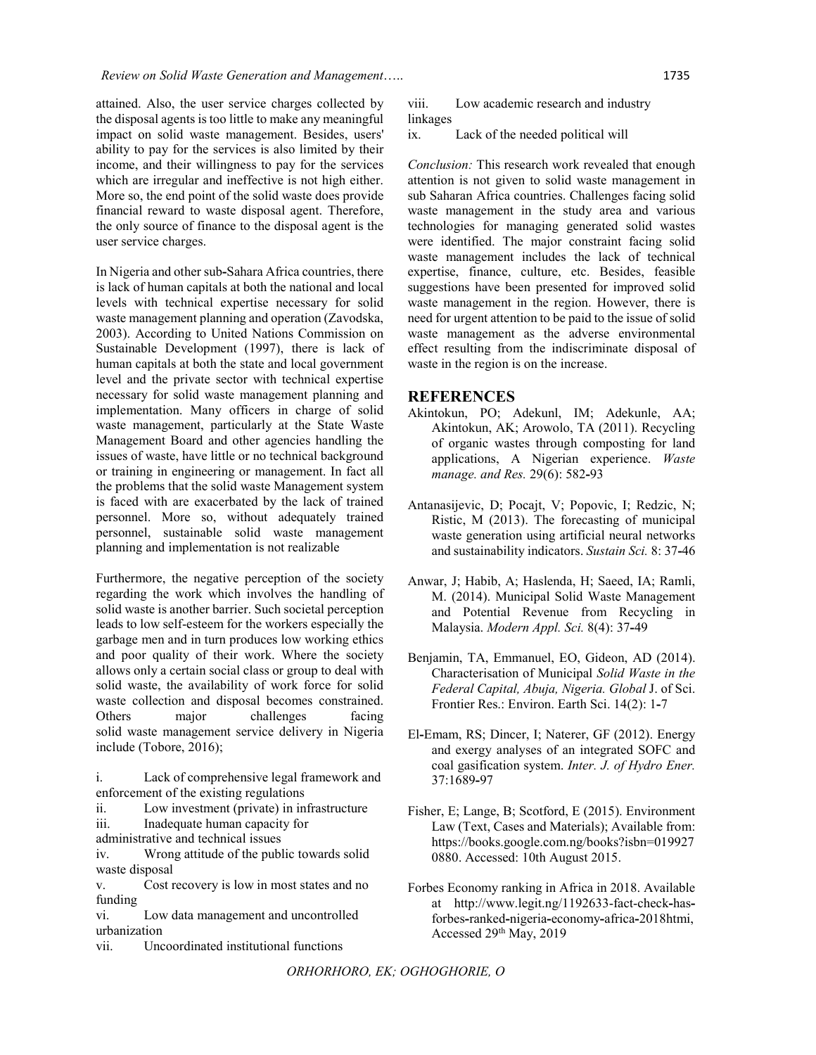attained. Also, the user service charges collected by the disposal agents is too little to make any meaningful impact on solid waste management. Besides, users' ability to pay for the services is also limited by their income, and their willingness to pay for the services which are irregular and ineffective is not high either. More so, the end point of the solid waste does provide financial reward to waste disposal agent. Therefore, the only source of finance to the disposal agent is the user service charges.

In Nigeria and other sub**-**Sahara Africa countries, there is lack of human capitals at both the national and local levels with technical expertise necessary for solid waste management planning and operation (Zavodska, 2003). According to United Nations Commission on Sustainable Development (1997), there is lack of human capitals at both the state and local government level and the private sector with technical expertise necessary for solid waste management planning and implementation. Many officers in charge of solid waste management, particularly at the State Waste Management Board and other agencies handling the issues of waste, have little or no technical background or training in engineering or management. In fact all the problems that the solid waste Management system is faced with are exacerbated by the lack of trained personnel. More so, without adequately trained personnel, sustainable solid waste management planning and implementation is not realizable

Furthermore, the negative perception of the society regarding the work which involves the handling of solid waste is another barrier. Such societal perception leads to low self-esteem for the workers especially the garbage men and in turn produces low working ethics and poor quality of their work. Where the society allows only a certain social class or group to deal with solid waste, the availability of work force for solid waste collection and disposal becomes constrained. Others major challenges facing solid waste management service delivery in Nigeria include (Tobore, 2016);

i. Lack of comprehensive legal framework and enforcement of the existing regulations

ii. Low investment (private) in infrastructure

iii. Inadequate human capacity for

administrative and technical issues

iv. Wrong attitude of the public towards solid waste disposal

v. Cost recovery is low in most states and no funding

vi. Low data management and uncontrolled urbanization

vii. Uncoordinated institutional functions

viii. Low academic research and industry linkages

ix. Lack of the needed political will

*Conclusion:* This research work revealed that enough attention is not given to solid waste management in sub Saharan Africa countries. Challenges facing solid waste management in the study area and various technologies for managing generated solid wastes were identified. The major constraint facing solid waste management includes the lack of technical expertise, finance, culture, etc. Besides, feasible suggestions have been presented for improved solid waste management in the region. However, there is need for urgent attention to be paid to the issue of solid waste management as the adverse environmental effect resulting from the indiscriminate disposal of waste in the region is on the increase.

## **REFERENCES**

- Akintokun, PO; Adekunl, IM; Adekunle, AA; Akintokun, AK; Arowolo, TA (2011). Recycling of organic wastes through composting for land applications, A Nigerian experience. *Waste manage. and Res.* 29(6): 582**-**93
- Antanasijevic, D; Pocajt, V; Popovic, I; Redzic, N; Ristic, M (2013). The forecasting of municipal waste generation using artificial neural networks and sustainability indicators. *Sustain Sci.* 8: 37**-**46
- Anwar, J; Habib, A; Haslenda, H; Saeed, IA; Ramli, M. (2014). Municipal Solid Waste Management and Potential Revenue from Recycling in Malaysia. *Modern Appl. Sci.* 8(4): 37**-**49
- Benjamin, TA, Emmanuel, EO, Gideon, AD (2014). Characterisation of Municipal *Solid Waste in the Federal Capital, Abuja, Nigeria. Global* J. of Sci. Frontier Res.: Environ. Earth Sci. 14(2): 1**-**7
- El**-**Emam, RS; Dincer, I; Naterer, GF (2012). Energy and exergy analyses of an integrated SOFC and coal gasification system. *Inter. J. of Hydro Ener.* 37:1689**-**97
- Fisher, E; Lange, B; Scotford, E (2015). Environment Law (Text, Cases and Materials); Available from: https://books.google.com.ng/books?isbn=019927 0880. Accessed: 10th August 2015.
- Forbes Economy ranking in Africa in 2018. Available at http://www.legit.ng/1192633-fact-check**-**hasforbes**-**ranked**-**nigeria**-**economy**-**africa**-**2018htmi, Accessed 29th May, 2019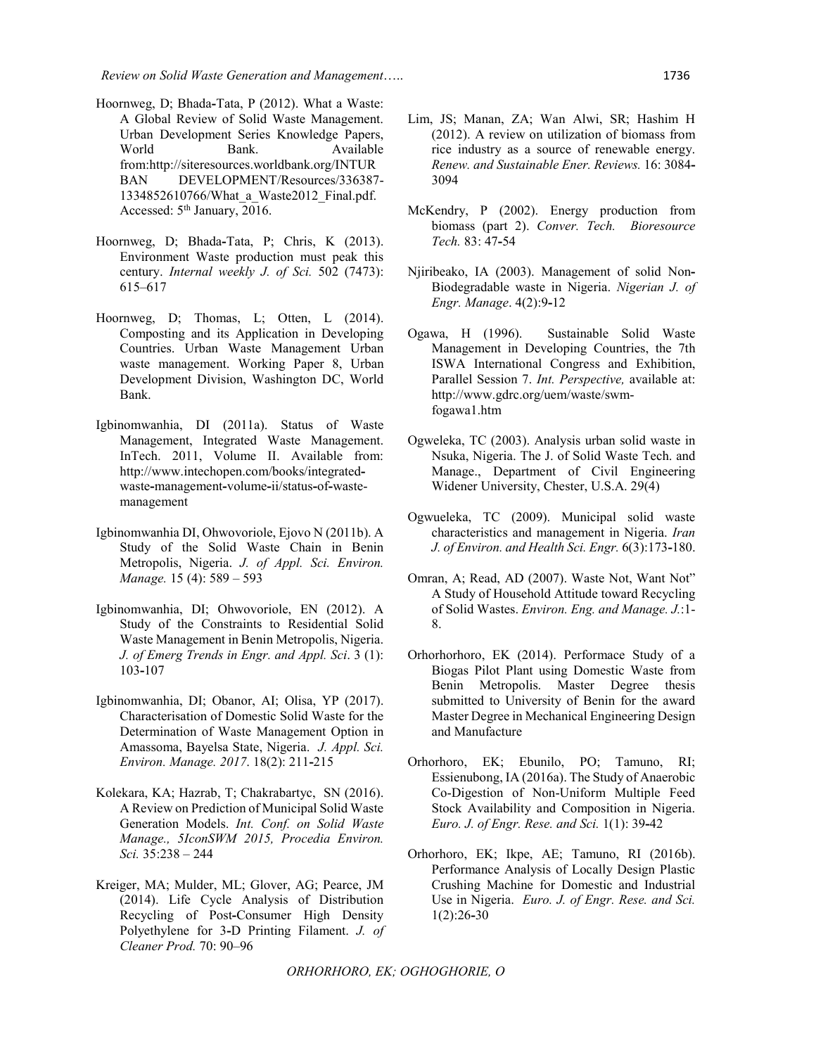- Hoornweg, D; Bhada**-**Tata, P (2012). What a Waste: A Global Review of Solid Waste Management. Urban Development Series Knowledge Papers, World Bank. Available from:http://siteresources.worldbank.org/INTUR BAN DEVELOPMENT/Resources/336387- 1334852610766/What\_a\_Waste2012\_Final.pdf. Accessed:  $5<sup>th</sup> January, 2016$ .
- Hoornweg, D; Bhada**-**Tata, P; Chris, K (2013). Environment Waste production must peak this century. *Internal weekly J. of Sci.* 502 (7473): 615–617
- Hoornweg, D; Thomas, L; Otten, L (2014). Composting and its Application in Developing Countries. Urban Waste Management Urban waste management. Working Paper 8, Urban Development Division, Washington DC, World Bank.
- Igbinomwanhia, DI (2011a). Status of Waste Management, Integrated Waste Management. InTech. 2011, Volume II. Available from: http://www.intechopen.com/books/integratedwaste**-**management**-**volume**-**ii/status**-**of**-**wastemanagement
- Igbinomwanhia DI, Ohwovoriole, Ejovo N (2011b). A Study of the Solid Waste Chain in Benin Metropolis, Nigeria. *J. of Appl. Sci. Environ. Manage.* 15 (4): 589 – 593
- Igbinomwanhia, DI; Ohwovoriole, EN (2012). A Study of the Constraints to Residential Solid Waste Management in Benin Metropolis, Nigeria. *J. of Emerg Trends in Engr. and Appl. Sci*. 3 (1): 103**-**107
- Igbinomwanhia, DI; Obanor, AI; Olisa, YP (2017). Characterisation of Domestic Solid Waste for the Determination of Waste Management Option in Amassoma, Bayelsa State, Nigeria. *J. Appl. Sci. Environ. Manage. 2017*. 18(2): 211**-**215
- Kolekara, KA; Hazrab, T; Chakrabartyc, SN (2016). A Review on Prediction of Municipal Solid Waste Generation Models. *Int. Conf. on Solid Waste Manage., 5IconSWM 2015, Procedia Environ. Sci.* 35:238 – 244
- Kreiger, MA; Mulder, ML; Glover, AG; Pearce, JM (2014). Life Cycle Analysis of Distribution Recycling of Post**-**Consumer High Density Polyethylene for 3**-**D Printing Filament. *J. of Cleaner Prod.* 70: 90–96
- Lim, JS; Manan, ZA; Wan Alwi, SR; Hashim H (2012). A review on utilization of biomass from rice industry as a source of renewable energy. *Renew. and Sustainable Ener. Reviews.* 16: 3084**-** 3094
- McKendry, P (2002). Energy production from biomass (part 2). *Conver. Tech. Bioresource Tech.* 83: 47**-**54
- Njiribeako, IA (2003). Management of solid Non**-**Biodegradable waste in Nigeria. *Nigerian J. of Engr. Manage*. 4(2):9**-**12
- Ogawa, H (1996). Sustainable Solid Waste Management in Developing Countries, the 7th ISWA International Congress and Exhibition, Parallel Session 7. *Int. Perspective,* available at: http://www.gdrc.org/uem/waste/swmfogawa1.htm
- Ogweleka, TC (2003). Analysis urban solid waste in Nsuka, Nigeria. The J. of Solid Waste Tech. and Manage., Department of Civil Engineering Widener University, Chester, U.S.A. 29(4)
- Ogwueleka, TC (2009). Municipal solid waste characteristics and management in Nigeria. *Iran J. of Environ. and Health Sci. Engr.* 6(3):173**-**180.
- Omran, A; Read, AD (2007). Waste Not, Want Not" A Study of Household Attitude toward Recycling of Solid Wastes. *Environ. Eng. and Manage. J.*:1- 8.
- Orhorhorhoro, EK (2014). Performace Study of a Biogas Pilot Plant using Domestic Waste from Benin Metropolis. Master Degree thesis submitted to University of Benin for the award Master Degree in Mechanical Engineering Design and Manufacture
- Orhorhoro, EK; Ebunilo, PO; Tamuno, RI; Essienubong, IA (2016a). The Study of Anaerobic Co-Digestion of Non-Uniform Multiple Feed Stock Availability and Composition in Nigeria. *Euro. J. of Engr. Rese. and Sci.* 1(1): 39**-**42
- Orhorhoro, EK; Ikpe, AE; Tamuno, RI (2016b). Performance Analysis of Locally Design Plastic Crushing Machine for Domestic and Industrial Use in Nigeria. *Euro. J. of Engr. Rese. and Sci.* 1(2):26**-**30